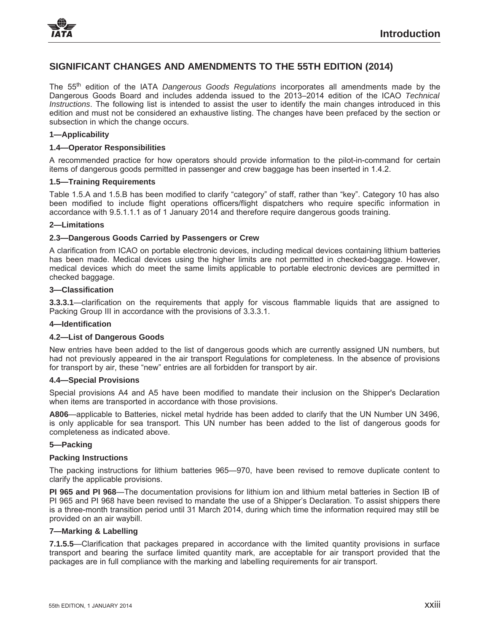# **SIGNIFICANT CHANGES AND AMENDMENTS TO THE 55TH EDITION (2014)**

The 55th edition of the IATA *Dangerous Goods Regulations* incorporates all amendments made by the Dangerous Goods Board and includes addenda issued to the 2013–2014 edition of the ICAO *Technical Instructions*. The following list is intended to assist the user to identify the main changes introduced in this edition and must not be considered an exhaustive listing. The changes have been prefaced by the section or subsection in which the change occurs.

## **1—Applicability**

## **1.4—Operator Responsibilities**

A recommended practice for how operators should provide information to the pilot-in-command for certain items of dangerous goods permitted in passenger and crew baggage has been inserted in 1.4.2.

## **1.5—Training Requirements**

Table 1.5.A and 1.5.B has been modified to clarify "category" of staff, rather than "key". Category 10 has also been modified to include flight operations officers/flight dispatchers who require specific information in accordance with 9.5.1.1.1 as of 1 January 2014 and therefore require dangerous goods training.

## **2—Limitations**

## **2.3—Dangerous Goods Carried by Passengers or Crew**

A clarification from ICAO on portable electronic devices, including medical devices containing lithium batteries has been made. Medical devices using the higher limits are not permitted in checked-baggage. However, medical devices which do meet the same limits applicable to portable electronic devices are permitted in checked baggage.

#### **3—Classification**

**3.3.3.1**—clarification on the requirements that apply for viscous flammable liquids that are assigned to Packing Group III in accordance with the provisions of 3.3.3.1.

#### **4—Identification**

#### **4.2—List of Dangerous Goods**

New entries have been added to the list of dangerous goods which are currently assigned UN numbers, but had not previously appeared in the air transport Regulations for completeness. In the absence of provisions for transport by air, these "new" entries are all forbidden for transport by air.

#### **4.4—Special Provisions**

Special provisions A4 and A5 have been modified to mandate their inclusion on the Shipper's Declaration when items are transported in accordance with those provisions.

**A806**—applicable to Batteries, nickel metal hydride has been added to clarify that the UN Number UN 3496, is only applicable for sea transport. This UN number has been added to the list of dangerous goods for completeness as indicated above.

#### **5—Packing**

#### **Packing Instructions**

The packing instructions for lithium batteries 965—970, have been revised to remove duplicate content to clarify the applicable provisions.

**PI 965 and PI 968**—The documentation provisions for lithium ion and lithium metal batteries in Section IB of PI 965 and PI 968 have been revised to mandate the use of a Shipper's Declaration. To assist shippers there is a three-month transition period until 31 March 2014, during which time the information required may still be provided on an air waybill.

## **7—Marking & Labelling**

**7.1.5.5**—Clarification that packages prepared in accordance with the limited quantity provisions in surface transport and bearing the surface limited quantity mark, are acceptable for air transport provided that the packages are in full compliance with the marking and labelling requirements for air transport.